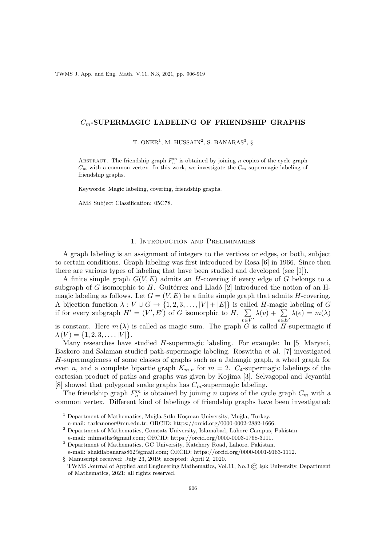TWMS J. App. and Eng. Math. V.11, N.3, 2021, pp. 906-919

## $C_m$ -SUPERMAGIC LABELING OF FRIENDSHIP GRAPHS

T. ONER<sup>1</sup>, M. HUSSAIN<sup>2</sup>, S. BANARAS<sup>3</sup>, §

ABSTRACT. The friendship graph  $F_n^m$  is obtained by joining n copies of the cycle graph  $C_m$  with a common vertex. In this work, we investigate the  $C_m$ -supermagic labeling of friendship graphs.

Keywords: Magic labeling, covering, friendship graphs.

AMS Subject Classification: 05C78.

### 1. Introduction and Preliminaries

A graph labeling is an assignment of integers to the vertices or edges, or both, subject to certain conditions. Graph labeling was first introduced by Rosa [6] in 1966. Since then there are various types of labeling that have been studied and developed (see [1]).

A finite simple graph  $G(V, E)$  admits an H-covering if every edge of G belongs to a subgraph of G isomorphic to H. Guitérrez and Lladó  $[2]$  introduced the notion of an Hmagic labeling as follows. Let  $G = (V, E)$  be a finite simple graph that admits H-covering. A bijection function  $\lambda: V \cup G \to \{1, 2, 3, ..., |V| + |E|\}$  is called H-magic labeling of G if for every subgraph  $H' = (V', E')$  of G isomorphic to  $H, \sum$  $v\in V'$  $\lambda(v) + \sum$  $e \in E'$  $\lambda(e) = m(\lambda)$ 

is constant. Here  $m(\lambda)$  is called as magic sum. The graph G is called H-supermagic if  $\lambda(V) = \{1, 2, 3, \ldots, |V|\}.$ 

Many researches have studied H-supermagic labeling. For example: In [5] Maryati, Baskoro and Salaman studied path-supermagic labeling. Roswitha et al. [7] investigated H-supermagicness of some classes of graphs such as a Jahangir graph, a wheel graph for even n, and a complete bipartie graph  $K_{m,n}$  for  $m = 2$ .  $C_4$ -supermagic labelings of the cartesian product of paths and graphs was given by Kojima [3]. Selvagopal and Jeyanthi [8] showed that polygonal snake graphs has  $C_m$ -supermagic labeling.

The friendship graph  $F_n^m$  is obtained by joining n copies of the cycle graph  $C_m$  with a common vertex. Different kind of labelings of friendship graphs have been investigated:

<sup>&</sup>lt;sup>1</sup> Department of Mathematics, Muğla Sıtkı Koçman University, Muğla, Turkey.

e-mail: tarkanoner@mu.edu.tr; ORCID: https://orcid.org/0000-0002-2882-1666.

 $^2$  Department of Mathematics, Comsats University, Islamabad, Lahore Campus, Pakistan.

e-mail: mhmaths@gmail.com; ORCID: https://orcid.org/0000-0003-1768-3111.

<sup>3</sup> Department of Mathematics, GC University, Katchery Road, Lahore, Pakistan.

e-mail: shakilabanaras862@gmail.com; ORCID: https://orcid.org/0000-0001-9163-1112.

<sup>§</sup> Manuscript received: July 23, 2019; accepted: April 2, 2020. TWMS Journal of Applied and Engineering Mathematics, Vol.11, No.3 (C) Işık University, Department of Mathematics, 2021; all rights reserved.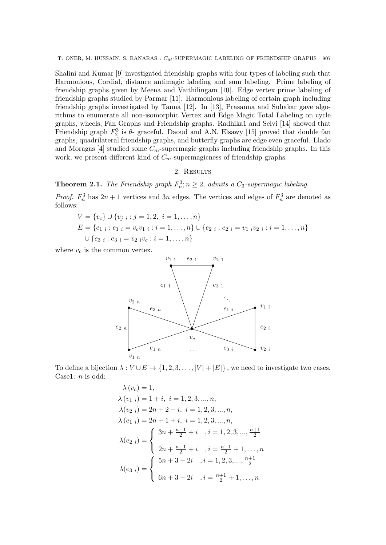T. ONER, M. HUSSAIN, S. BANARAS :  $C_M$ -SUPERMAGIC LABELING OF FRIENDSHIP GRAPHS 907

Shalini and Kumar [9] investigated friendship graphs with four types of labeling such that Harmonious, Cordial, distance antimagic labeling and sum labeling. Prime labeling of friendship graphs given by Meena and Vaithilingam [10]. Edge vertex prime labeling of friendship graphs studied by Parmar [11]. Harmonious labeling of certain graph including friendship graphs investigated by Tanna [12]. In [13], Prasanna and Suhakar gave algorithms to enumerate all non-isomorphic Vertex and Edge Magic Total Labeling on cycle graphs, wheels, Fan Graphs and Friendship graphs. Radhika1 and Selvi [14] showed that Friendship graph  $F_2^3$  is  $\theta$ - graceful. Daoud and A.N. Elsawy [15] proved that double fan graphs, quadrilateral friendship graphs, and butterfly graphs are edge even graceful. Llado and Moragas [4] studied some  $C_m$ -supermagic graphs including friendship graphs. In this work, we present different kind of  $C_m$ -supermagicness of friendship graphs.

# 2. Results

**Theorem 2.1.** The Friendship graph  $F_n^3$ ;  $n \geq 2$ , admits a  $C_3$ -supermagic labeling.

*Proof.*  $F_n^3$  has  $2n + 1$  vertices and  $3n$  edges. The vertices and edges of  $F_n^3$  are denoted as follows:

$$
V = \{v_c\} \cup \{v_{j \ i} : j = 1, 2, i = 1, ..., n\}
$$
  
\n
$$
E = \{e_{1 \ i} : e_{1 \ i} = v_c v_{1 \ i} : i = 1, ..., n\} \cup \{e_{2 \ i} : e_{2 \ i} = v_{1 \ i} v_{2 \ i} : i = 1, ..., n\}
$$
  
\n
$$
\cup \{e_{3 \ i} : e_{3 \ i} = v_{2 \ i} v_c : i = 1, ..., n\}
$$

where  $v_c$  is the common vertex.



To define a bijection  $\lambda: V \cup E \to \{1, 2, 3, ..., |V| + |E|\}$ , we need to investigate two cases. Case1: n is odd:

$$
\lambda (v_c) = 1,
$$
  
\n
$$
\lambda (v_1 i) = 1 + i, i = 1, 2, 3, ..., n,
$$
  
\n
$$
\lambda (v_2 i) = 2n + 2 - i, i = 1, 2, 3, ..., n,
$$
  
\n
$$
\lambda (e_{1 i}) = 2n + 1 + i, i = 1, 2, 3, ..., n,
$$
  
\n
$$
\lambda (e_{2 i}) = \begin{cases} 3n + \frac{n+1}{2} + i, i = 1, 2, 3, ..., \frac{n+1}{2} \\ 2n + \frac{n+1}{2} + i, i = \frac{n+1}{2} + 1, ..., n \end{cases}
$$
  
\n
$$
\lambda (e_{3 i}) = \begin{cases} 5n + 3 - 2i, i = 1, 2, 3, ..., \frac{n+1}{2} \\ 6n + 3 - 2i, i = \frac{n+1}{2} + 1, ..., n \end{cases}
$$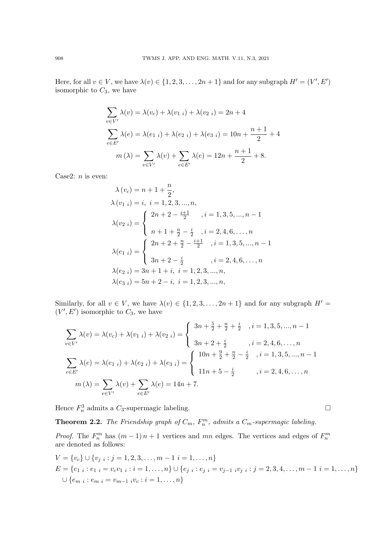Here, for all  $v \in V$ , we have  $\lambda(v) \in \{1, 2, 3, ..., 2n + 1\}$  and for any subgraph  $H' = (V', E')$ isomorphic to  $C_3$ , we have

$$
\sum_{v \in V'} \lambda(v) = \lambda(v_c) + \lambda(v_{1 i}) + \lambda(v_{2 i}) = 2n + 4
$$
  

$$
\sum_{e \in E'} \lambda(e) = \lambda(e_{1 i}) + \lambda(e_{2 i}) + \lambda(e_{3 i}) = 10n + \frac{n+1}{2} + 4
$$
  

$$
m(\lambda) = \sum_{v \in V'} \lambda(v) + \sum_{e \in E'} \lambda(e) = 12n + \frac{n+1}{2} + 8.
$$

Case2:  $n$  is even:

$$
\lambda(v_c) = n + 1 + \frac{n}{2},
$$
  
\n
$$
\lambda(v_{1 i}) = i, i = 1, 2, 3, ..., n,
$$
  
\n
$$
\lambda(v_{2 i}) = \begin{cases}\n2n + 2 - \frac{i+1}{2} , i = 1, 3, 5, ..., n-1 \\
n + 1 + \frac{n}{2} - \frac{i}{2} , i = 2, 4, 6, ..., n \\
\lambda(e_{1 i}) = \begin{cases}\n2n + 2 + \frac{n}{2} - \frac{i+1}{2} , i = 1, 3, 5, ..., n-1 \\
3n + 2 - \frac{i}{2} , i = 2, 4, 6, ..., n \\
\lambda(e_{2 i}) = 3n + 1 + i, i = 1, 2, 3, ..., n, \\
\lambda(e_{3 i}) = 5n + 2 - i, i = 1, 2, 3, ..., n,\n\end{cases}
$$

Similarly, for all  $v \in V$ , we have  $\lambda(v) \in \{1, 2, 3, ..., 2n + 1\}$  and for any subgraph  $H' =$  $(V', E')$  isomorphic to  $C_3$ , we have

$$
\sum_{v \in V'} \lambda(v) = \lambda(v_c) + \lambda(v_{1\ i}) + \lambda(v_{2\ i}) = \begin{cases} 3n + \frac{5}{2} + \frac{n}{2} + \frac{i}{2} & , i = 1, 3, 5, ..., n - 1 \\ 3n + 2 + \frac{i}{2} & , i = 2, 4, 6, ..., n \\ 3n + 2 + \frac{i}{2} & , i = 2, 4, 6, ..., n \end{cases}
$$

$$
\sum_{e \in E'} \lambda(e) = \lambda(e_{1\ i}) + \lambda(e_{2\ i}) + \lambda(e_{3\ i}) = \begin{cases} 10n + \frac{9}{2} + \frac{n}{2} - \frac{i}{2} & , i = 1, 3, 5, ..., n - 1 \\ 11n + 5 - \frac{i}{2} & , i = 2, 4, 6, ..., n \end{cases}
$$

$$
m(\lambda) = \sum_{v \in V'} \lambda(v) + \sum_{e \in E'} \lambda(e) = 14n + 7.
$$

Hence  $F_n^3$  admits a  $C_3$ -supermagic labeling.

**Theorem 2.2.** The Friendship graph of  $C_m$ ,  $F_n^m$ , admits a  $C_m$ -supermagic labeling.

*Proof.* The  $F_n^m$  has  $(m-1)n + 1$  vertices and mn edges. The vertices and edges of  $F_n^m$  are denoted as follows:

$$
V = \{v_c\} \cup \{v_{j \ i} : j = 1, 2, 3, \dots, m - 1 \ i = 1, \dots, n\}
$$
  
\n
$$
E = \{e_{1 \ i} : e_{1 \ i} = v_c v_{1 \ i} : i = 1, \dots, n\} \cup \{e_{j \ i} : e_{j \ i} = v_{j-1 \ i} v_{j \ i} : j = 2, 3, 4, \dots, m - 1 \ i = 1, \dots, n\}
$$
  
\n
$$
\cup \{e_{m \ i} : e_{m \ i} = v_{m-1 \ i} v_c : i = 1, \dots, n\}
$$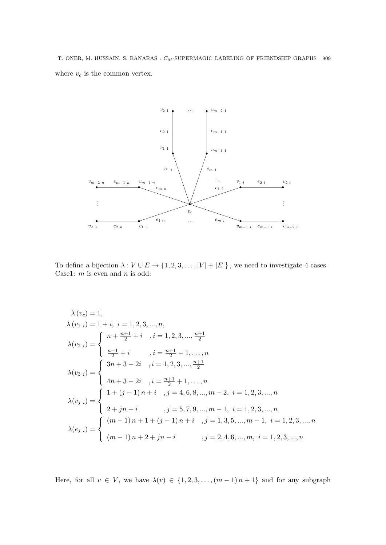T. ONER, M. HUSSAIN, S. BANARAS :  $C_M\text{-}\ensuremath{\mathrm{SUPERMAGIC}}$  LABELING OF FRIENDSHIP GRAPHS  $-909$ where  $v_c$  is the common vertex.



To define a bijection  $\lambda: V \cup E \to \{1, 2, 3, \ldots, |V| + |E|\}$ , we need to investigate 4 cases. Case1:  $m$  is even and  $n$  is odd:

$$
\lambda (v_{c}) = 1,
$$
  
\n
$$
\lambda (v_{1 i}) = 1 + i, i = 1, 2, 3, ..., n,
$$
  
\n
$$
\lambda (v_{2 i}) = \begin{cases}\nn + \frac{n+1}{2} + i, i = 1, 2, 3, ..., \frac{n+1}{2} \\
\frac{n+1}{2} + i, i = \frac{n+1}{2} + 1, ..., n\n\end{cases}
$$
  
\n
$$
\lambda (v_{3 i}) = \begin{cases}\n3n+3-2i, i = 1, 2, 3, ..., \frac{n+1}{2} \\
4n+3-2i, i = \frac{n+1}{2} + 1, ..., n\n\end{cases}
$$
  
\n
$$
\lambda (v_{j i}) = \begin{cases}\n1 + (j-1)n + i, j = 4, 6, 8, ..., m-2, i = 1, 2, 3, ..., n \\
2 + jn - i, j = 5, 7, 9, ..., m-1, i = 1, 2, 3, ..., n \\
(j = 1, 3, 5, ..., m-1, i = 1, 2, 3, ..., n) \\
(m - 1)n + 1 + (j - 1)n + i, j = 1, 3, 5, ..., m, i = 1, 2, 3, ..., n\n\end{cases}
$$

Here, for all  $v \in V$ , we have  $\lambda(v) \in \{1, 2, 3, ..., (m-1) n+1\}$  and for any subgraph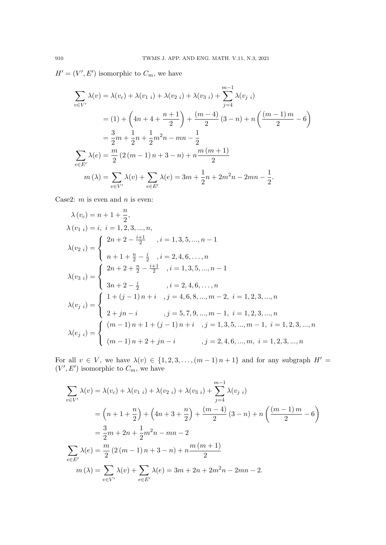$H' = (V', E')$  isomorphic to  $C_m$ , we have

$$
\sum_{v \in V'} \lambda(v) = \lambda(v_c) + \lambda(v_{1\ i}) + \lambda(v_{2\ i}) + \lambda(v_{3\ i}) + \sum_{j=4}^{m-1} \lambda(v_{j\ i})
$$
  
= (1) +  $\left(4n + 4 + \frac{n+1}{2}\right) + \frac{(m-4)}{2}(3-n) + n\left(\frac{(m-1)m}{2} - 6\right)$   
=  $\frac{3}{2}m + \frac{1}{2}n + \frac{1}{2}m^2n - mn - \frac{1}{2}$   

$$
\sum_{e \in E'} \lambda(e) = \frac{m}{2}(2(m-1)n + 3 - n) + n\frac{m(m+1)}{2}
$$
  

$$
m(\lambda) = \sum_{v \in V'} \lambda(v) + \sum_{e \in E'} \lambda(e) = 3m + \frac{1}{2}n + 2m^2n - 2mn - \frac{1}{2}.
$$

Case2:  $m$  is even and  $n$  is even:

$$
\lambda(v_c) = n + 1 + \frac{n}{2},
$$
  
\n
$$
\lambda(v_{1 i}) = i, i = 1, 2, 3, ..., n,
$$
  
\n
$$
\lambda(v_{2 i}) = \begin{cases}\n2n + 2 - \frac{i+1}{2} , i = 1, 3, 5, ..., n-1 \\
n + 1 + \frac{n}{2} - \frac{i}{2} , i = 2, 4, 6, ..., n \\
\lambda(v_{3 i}) = \begin{cases}\n2n + 2 + \frac{n}{2} - \frac{i+1}{2} , i = 1, 3, 5, ..., n-1 \\
3n + 2 - \frac{i}{2} , i = 2, 4, 6, ..., n\n\end{cases}
$$
  
\n
$$
\lambda(v_{j i}) = \begin{cases}\n1 + (j - 1)n + i , j = 4, 6, 8, ..., m - 2, i = 1, 2, 3, ..., n \\
2 + jn - i , j = 5, 7, 9, ..., m - 1, i = 1, 2, 3, ..., n \\
(n - 1)n + 1 + (j - 1)n + i , j = 1, 3, 5, ..., m - 1, i = 1, 2, 3, ..., n\n\end{cases}
$$
  
\n
$$
\lambda(e_{j i}) = \begin{cases}\n(m - 1)n + 1 + (j - 1)n + i , j = 1, 3, 5, ..., m - 1, i = 1, 2, 3, ..., n \\
(m - 1)n + 2 + jn - i , j = 2, 4, 6, ..., m, i = 1, 2, 3, ..., n\n\end{cases}
$$

For all  $v \in V$ , we have  $\lambda(v) \in \{1, 2, 3, \ldots, (m-1) n+1\}$  and for any subgraph  $H' =$  $(V', E')$  isomorphic to  $C_m$ , we have

$$
\sum_{v \in V'} \lambda(v) = \lambda(v_c) + \lambda(v_{1\ i}) + \lambda(v_{2\ i}) + \lambda(v_{3\ i}) + \sum_{j=4}^{m-1} \lambda(v_{j\ i})
$$
  
=  $\left(n + 1 + \frac{n}{2}\right) + \left(4n + 3 + \frac{n}{2}\right) + \frac{(m-4)}{2}(3-n) + n\left(\frac{(m-1)m}{2} - 6\right)$   
=  $\frac{3}{2}m + 2n + \frac{1}{2}m^2n - mn - 2$   

$$
\sum_{e \in E'} \lambda(e) = \frac{m}{2}(2(m-1)n + 3 - n) + n\frac{m(m+1)}{2}
$$
  

$$
m(\lambda) = \sum_{v \in V'} \lambda(v) + \sum_{e \in E'} \lambda(e) = 3m + 2n + 2m^2n - 2mn - 2.
$$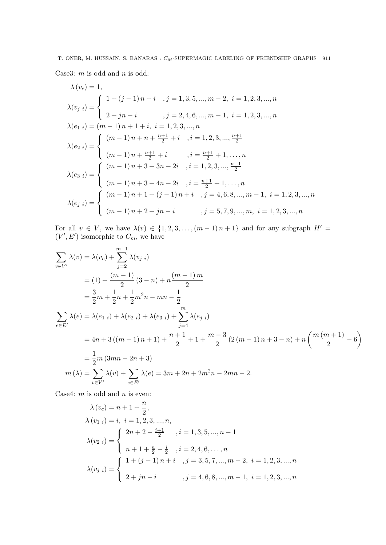# T. ONER, M. HUSSAIN, S. BANARAS :  $C_M\text{-}\ensuremath{\mathrm{SUPERMAGIC}}$  LABELING OF FRIENDSHIP GRAPHS  $\,$  911 Case3:  $m$  is odd and  $n$  is odd:

$$
\lambda(v_c) = 1,
$$
\n
$$
\lambda(v_j i) = \begin{cases}\n1 + (j - 1)n + i & , j = 1, 3, 5, ..., m - 2, i = 1, 2, 3, ..., n \\
2 + jn - i & , j = 2, 4, 6, ..., m - 1, i = 1, 2, 3, ..., n\n\end{cases}
$$
\n
$$
\lambda(e_{1 i}) = (m - 1)n + 1 + i, i = 1, 2, 3, ..., n
$$
\n
$$
\lambda(e_{2 i}) = \begin{cases}\n(m - 1)n + n + \frac{n+1}{2} + i & , i = 1, 2, 3, ..., \frac{n+1}{2} \\
(m - 1)n + \frac{n+1}{2} + i & , i = \frac{n+1}{2} + 1, ..., n\n\end{cases}
$$
\n
$$
\lambda(e_{3 i}) = \begin{cases}\n(m - 1)n + 3 + 3n - 2i & , i = 1, 2, 3, ..., \frac{n+1}{2} \\
(m - 1)n + 3 + 4n - 2i & , i = \frac{n+1}{2} + 1, ..., n \\
(m - 1)n + 1 + (j - 1)n + i & , j = 4, 6, 8, ..., m - 1, i = 1, 2, 3, ..., n\n\end{cases}
$$
\n
$$
\lambda(e_{j i}) = \begin{cases}\n(m - 1)n + 1 + (j - 1)n + i & , j = 4, 6, 8, ..., m - 1, i = 1, 2, 3, ..., n \\
(m - 1)n + 2 + jn - i & , j = 5, 7, 9, ..., m, i = 1, 2, 3, ..., n\n\end{cases}
$$

For all  $v \in V$ , we have  $\lambda(v) \in \{1, 2, 3, \ldots, (m-1) n+1\}$  and for any subgraph  $H' =$  $(V', E')$  isomorphic to  $C_m$ , we have

$$
\sum_{v \in V'} \lambda(v) = \lambda(v_c) + \sum_{j=2}^{m-1} \lambda(v_{j-i})
$$
  
= (1) +  $\frac{(m-1)}{2}$  (3 - n) + n $\frac{(m-1)m}{2}$   
=  $\frac{3}{2}m + \frac{1}{2}n + \frac{1}{2}m^2n - mn - \frac{1}{2}$   

$$
\sum_{e \in E'} \lambda(e) = \lambda(e_{1-i}) + \lambda(e_{2-i}) + \lambda(e_{3-i}) + \sum_{j=4}^{m} \lambda(e_{j-i})
$$
  
=  $4n + 3((m-1)n + 1) + \frac{n+1}{2} + 1 + \frac{m-3}{2}(2(m-1)n + 3 - n) + n\left(\frac{m(m+1)}{2} - 6\right)$   
=  $\frac{1}{2}m(3mn - 2n + 3)$   
 $m(\lambda) = \sum_{v \in V'} \lambda(v) + \sum_{e \in E'} \lambda(e) = 3m + 2n + 2m^2n - 2mn - 2.$ 

Case4:  $m$  is odd and  $n$  is even:

$$
\lambda(v_c) = n + 1 + \frac{n}{2},
$$
  
\n
$$
\lambda(v_{1 i}) = i, i = 1, 2, 3, ..., n,
$$
  
\n
$$
\lambda(v_{2 i}) = \begin{cases}\n2n + 2 - \frac{i+1}{2} & , i = 1, 3, 5, ..., n - 1 \\
n + 1 + \frac{n}{2} - \frac{i}{2} & , i = 2, 4, 6, ..., n \\
n + \frac{1}{2} - \frac{i}{2} & , i = 3, 5, 7, ..., m - 2, i = 1, 2, 3, ..., n\n\end{cases}
$$
  
\n
$$
\lambda(v_{j i}) = \begin{cases}\n1 + (j - 1) n + i & , j = 3, 5, 7, ..., m - 2, i = 1, 2, 3, ..., n \\
2 + jn - i & , j = 4, 6, 8, ..., m - 1, i = 1, 2, 3, ..., n\n\end{cases}
$$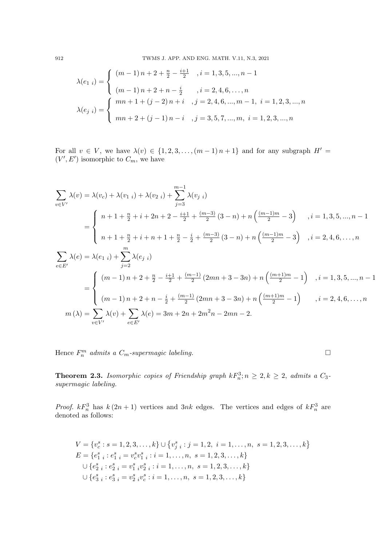912 TWMS J. APP. AND ENG. MATH. V.11, N.3, 2021

$$
\lambda(e_{1 i}) = \begin{cases}\n(m-1) n + 2 + \frac{n}{2} - \frac{i+1}{2} , i = 1, 3, 5, ..., n-1 \\
(m-1) n + 2 + n - \frac{i}{2} , i = 2, 4, 6, ..., n \\
(m-1) n + 1 + (j-2) n + i , j = 2, 4, 6, ..., m-1, i = 1, 2, 3, ..., n\n\end{cases}
$$
\n
$$
\lambda(e_{j i}) = \begin{cases}\nmn + 1 + (j-2) n + i , j = 2, 4, 6, ..., m-1, i = 1, 2, 3, ..., n \\
mn + 2 + (j-1) n - i , j = 3, 5, 7, ..., m, i = 1, 2, 3, ..., n\n\end{cases}
$$

For all  $v \in V$ , we have  $\lambda(v) \in \{1, 2, 3, \ldots, (m-1) n+1\}$  and for any subgraph  $H' =$  $(V', E')$  isomorphic to  $C_m$ , we have

$$
\sum_{v \in V'} \lambda(v) = \lambda(v_c) + \lambda(v_{1 i}) + \lambda(v_{2 i}) + \sum_{j=3}^{m-1} \lambda(v_{j i})
$$
  
= 
$$
\begin{cases} n+1 + \frac{n}{2} + i + 2n + 2 - \frac{i+1}{2} + \frac{(m-3)}{2}(3-n) + n\left(\frac{(m-1)m}{2} - 3\right) & , i = 1, 3, 5, ..., n-1 \\ n+1 + \frac{n}{2} + i + n + 1 + \frac{n}{2} - \frac{i}{2} + \frac{(m-3)}{2}(3-n) + n\left(\frac{(m-1)m}{2} - 3\right) & , i = 2, 4, 6, ..., n \end{cases}
$$
  

$$
\sum_{e \in E'} \lambda(e) = \lambda(e_{1 i}) + \sum_{j=2}^{m} \lambda(e_{j i})
$$
  
= 
$$
\begin{cases} (m-1)n + 2 + \frac{n}{2} - \frac{i+1}{2} + \frac{(m-1)}{2}(2mn + 3 - 3n) + n\left(\frac{(m+1)m}{2} - 1\right) & , i = 1, 3, 5, ..., n-1 \\ (m-1)n + 2 + n - \frac{i}{2} + \frac{(m-1)}{2}(2mn + 3 - 3n) + n\left(\frac{(m+1)m}{2} - 1\right) & , i = 2, 4, 6, ..., n \\ n(\lambda) = \sum_{v \in V'} \lambda(v) + \sum_{e \in E'} \lambda(e) = 3m + 2n + 2m^2n - 2mn - 2. \end{cases}
$$

Hence  $F_n^m$  admits a  $C_m$ -supermagic labeling.

**Theorem 2.3.** Isomorphic copies of Friendship graph  $kF_n^3$ ;  $n \geq 2$ ,  $k \geq 2$ , admits a  $C_3$ supermagic labeling.

*Proof.*  $kF_n^3$  has  $k(2n+1)$  vertices and  $3nk$  edges. The vertices and edges of  $kF_n^3$  are denoted as follows:

$$
V = \{v_c^s : s = 1, 2, 3, \dots, k\} \cup \{v_j^s : j = 1, 2, i = 1, \dots, n, s = 1, 2, 3, \dots, k\}
$$
  
\n
$$
E = \{e_{1 i}^s : e_{1 i}^s = v_c^s v_{1 i}^s : i = 1, \dots, n, s = 1, 2, 3, \dots, k\}
$$
  
\n
$$
\cup \{e_{2 i}^s : e_{2 i}^s = v_{1 i}^s v_{2 i}^s : i = 1, \dots, n, s = 1, 2, 3, \dots, k\}
$$
  
\n
$$
\cup \{e_{3 i}^s : e_{3 i}^s = v_{2 i}^s v_c^s : i = 1, \dots, n, s = 1, 2, 3, \dots, k\}
$$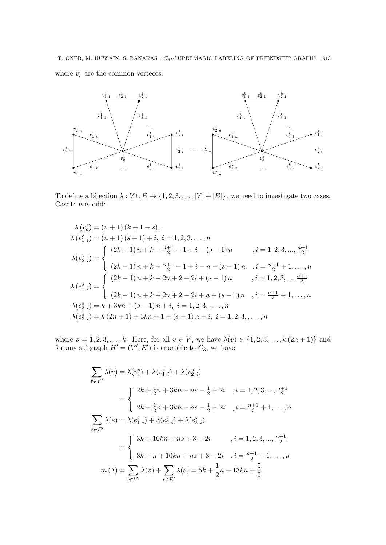T. ONER, M. HUSSAIN, S. BANARAS :  $C_M\text{-}\ensuremath{\mathrm{SUPERMAGIC}}$  LABELING OF FRIENDSHIP GRAPHS 913 where  $v_c^s$  are the common verteces.



To define a bijection  $\lambda: V \cup E \to \{1, 2, 3, ..., |V| + |E|\}$ , we need to investigate two cases. Case1:  $\boldsymbol{n}$  is odd:

$$
\lambda (v_c^s) = (n + 1) (k + 1 - s),
$$
  
\n
$$
\lambda (v_{1 i}^s) = (n + 1) (s - 1) + i, i = 1, 2, 3, ..., n
$$
  
\n
$$
\lambda (v_{2 i}^s) = \begin{cases}\n(2k - 1) n + k + \frac{n+1}{2} - 1 + i - (s - 1) n, i = 1, 2, 3, ..., \frac{n+1}{2} \\
(2k - 1) n + k + \frac{n+1}{2} - 1 + i - n - (s - 1) n, i = \frac{n+1}{2} + 1, ..., n\n\end{cases}
$$
  
\n
$$
\lambda (e_{1 i}^s) = \begin{cases}\n(2k - 1) n + k + 2n + 2 - 2i + (s - 1) n, i = 1, 2, 3, ..., \frac{n+1}{2} \\
(2k - 1) n + k + 2n + 2 - 2i + n + (s - 1) n, i = \frac{n+1}{2} + 1, ..., n\n\end{cases}
$$
  
\n
$$
\lambda (e_{2 i}^s) = k + 3kn + (s - 1) n + i, i = 1, 2, 3, ..., n
$$
  
\n
$$
\lambda (e_{3 i}^s) = k (2n + 1) + 3kn + 1 - (s - 1) n - i, i = 1, 2, 3, ..., n
$$

where  $s = 1, 2, 3, ..., k$ . Here, for all  $v \in V$ , we have  $\lambda(v) \in \{1, 2, 3, ..., k (2n + 1)\}\$  and for any subgraph  $H' = (V', E')$  isomorphic to  $C_3$ , we have

$$
\sum_{v \in V'} \lambda(v) = \lambda(v_c^s) + \lambda(v_{1\ i}^s) + \lambda(v_{2\ i}^s)
$$
  
= 
$$
\begin{cases} 2k + \frac{1}{2}n + 3kn - ns - \frac{1}{2} + 2i, \quad i = 1, 2, 3, ..., \frac{n+1}{2} \\ 2k - \frac{1}{2}n + 3kn - ns - \frac{1}{2} + 2i, \quad i = \frac{n+1}{2} + 1, ..., n \end{cases}
$$
  

$$
\sum_{e \in E'} \lambda(e) = \lambda(e_{1\ i}^s) + \lambda(e_{2\ i}^s) + \lambda(e_{3\ i}^s)
$$
  
= 
$$
\begin{cases} 3k + 10kn + ns + 3 - 2i, \quad i = 1, 2, 3, ..., \frac{n+1}{2} \\ 3k + n + 10kn + ns + 3 - 2i, \quad i = \frac{n+1}{2} + 1, ..., n \\ n(\lambda) = \sum_{v \in V'} \lambda(v) + \sum_{e \in E'} \lambda(e) = 5k + \frac{1}{2}n + 13kn + \frac{5}{2}. \end{cases}
$$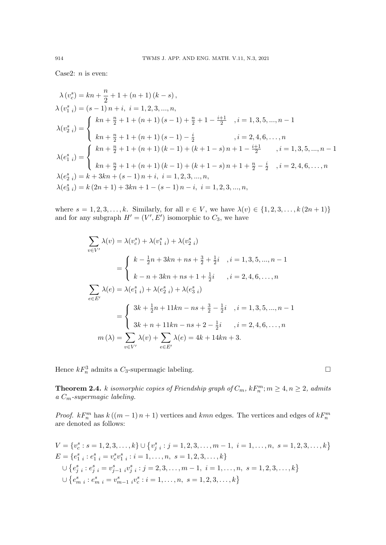Case2:  $n$  is even:

$$
\lambda (v_{c}^{s}) = kn + \frac{n}{2} + 1 + (n + 1) (k - s),
$$
\n
$$
\lambda (v_{1 i}^{s}) = (s - 1) n + i, \ i = 1, 2, 3, ..., n,
$$
\n
$$
\lambda (v_{2 i}^{s}) = \begin{cases}\nkn + \frac{n}{2} + 1 + (n + 1) (s - 1) + \frac{n}{2} + 1 - \frac{i + 1}{2} & , i = 1, 3, 5, ..., n - 1 \\
kn + \frac{n}{2} + 1 + (n + 1) (s - 1) - \frac{i}{2} & , i = 2, 4, 6, ..., n \\
\lambda (e_{1 i}^{s}) = \begin{cases}\nkn + \frac{n}{2} + 1 + (n + 1) (k - 1) + (k + 1 - s) n + 1 - \frac{i + 1}{2} & , i = 1, 3, 5, ..., n - 1 \\
kn + \frac{n}{2} + 1 + (n + 1) (k - 1) + (k + 1 - s) n + 1 + \frac{n}{2} - \frac{i}{2} & , i = 2, 4, 6, ..., n \\
\lambda (e_{3 i}^{s}) = k + 3kn + (s - 1) n + i, \ i = 1, 2, 3, ..., n,\n\lambda (e_{3 i}^{s}) = k (2n + 1) + 3kn + 1 - (s - 1) n - i, \ i = 1, 2, 3, ..., n,\n\end{cases}
$$

where  $s = 1, 2, 3, ..., k$ . Similarly, for all  $v \in V$ , we have  $\lambda(v) \in \{1, 2, 3, ..., k (2n + 1)\}\$ and for any subgraph  $H' = (V', E')$  isomorphic to  $C_3$ , we have

$$
\sum_{v \in V'} \lambda(v) = \lambda(v_c^s) + \lambda(v_{1\ i}^s) + \lambda(v_{2\ i}^s)
$$
  
= 
$$
\begin{cases} k - \frac{1}{2}n + 3kn + ns + \frac{3}{2} + \frac{1}{2}i, \quad i = 1, 3, 5, ..., n - 1 \\ k - n + 3kn + ns + 1 + \frac{1}{2}i, \quad i = 2, 4, 6, ..., n \end{cases}
$$
  

$$
\sum_{e \in E'} \lambda(e) = \lambda(e_{1\ i}^s) + \lambda(e_{2\ i}^s) + \lambda(e_{3\ i}^s)
$$
  
= 
$$
\begin{cases} 3k + \frac{1}{2}n + 11kn - ns + \frac{3}{2} - \frac{1}{2}i, \quad i = 1, 3, 5, ..., n - 1 \\ 3k + n + 11kn - ns + 2 - \frac{1}{2}i, \quad i = 2, 4, 6, ..., n \\ n(\lambda) = \sum_{v \in V'} \lambda(v) + \sum_{e \in E'} \lambda(e) = 4k + 14kn + 3. \end{cases}
$$

Hence  $kF_n^3$  admits a  $C_3$ -supermagic labeling.

**Theorem 2.4.** k isomorphic copies of Friendship graph of  $C_m$ ,  $kF_n^m$ ;  $m \geq 4$ ,  $n \geq 2$ , admits a  $C_m$ -supermagic labeling.

*Proof.*  $kF_n^m$  has  $k((m-1)n+1)$  vertices and  $kmn$  edges. The vertices and edges of  $kF_n^m$ are denoted as follows:

$$
V = \{v_c^s : s = 1, 2, 3, \dots, k\} \cup \{v_j^s : j = 1, 2, 3, \dots, m - 1, i = 1, \dots, n, s = 1, 2, 3, \dots, k\}
$$
  
\n
$$
E = \{e_{1 i}^s : e_{1 i}^s = v_c^s v_{1 i}^s : i = 1, \dots, n, s = 1, 2, 3, \dots, k\}
$$
  
\n
$$
\cup \{e_{j i}^s : e_{j i}^s = v_{j-1 i}^s v_{j i}^s : j = 2, 3, \dots, m - 1, i = 1, \dots, n, s = 1, 2, 3, \dots, k\}
$$
  
\n
$$
\cup \{e_{m i}^s : e_{m i}^s = v_{m-1 i}^s v_c^s : i = 1, \dots, n, s = 1, 2, 3, \dots, k\}
$$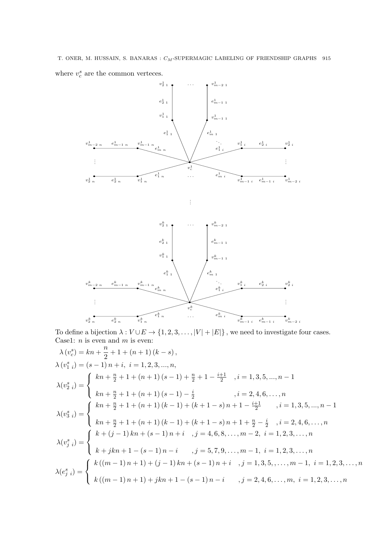T. ONER, M. HUSSAIN, S. BANARAS :  $C_M\text{-}\ensuremath{\mathrm{SUPERMAGIC}}$  LABELING OF FRIENDSHIP GRAPHS  $\,$  915 where  $v_c^s$  are the common verteces.





. . .

To define a bijection  $\lambda: V \cup E \to \{1, 2, 3, ..., |V| + |E|\}$ , we need to investigate four cases. Case1:  $n$  is even and  $m$  is even: n

$$
\lambda (v_0^s) = kn + \frac{n}{2} + 1 + (n+1)(k-s),
$$
  
\n
$$
\lambda (v_1^s) = (s-1)n + i, i = 1, 2, 3, ..., n,
$$
  
\n
$$
\lambda (v_2^s) = \begin{cases} kn + \frac{n}{2} + 1 + (n+1)(s-1) + \frac{n}{2} + 1 - \frac{i+1}{2} & , i = 1, 3, 5, ..., n-1 \\ kn + \frac{n}{2} + 1 + (n+1)(s-1) - \frac{i}{2} & , i = 2, 4, 6, ..., n \\ kn + \frac{n}{2} + 1 + (n+1)(k-1) + (k+1-s)n + 1 - \frac{i+1}{2} & , i = 1, 3, 5, ..., n-1 \\ kn + \frac{n}{2} + 1 + (n+1)(k-1) + (k+1-s)n + 1 + \frac{n}{2} - \frac{i}{2} & , i = 2, 4, 6, ..., n \\ kn + \frac{n}{2} + 1 + (n+1)(k-1)n + i, j = 4, 6, 8, ..., m-2, i = 1, 2, 3, ..., n \\ k + jkn + 1 - (s-1)n - i, j = 5, 7, 9, ..., m-1, i = 1, 2, 3, ..., n \\ \lambda (v_j^s) = \begin{cases} k((m-1)n + 1) + (j-1)kn + (s-1)n + i, j = 1, 3, 5, ..., m-1, i = 1, 2, 3, ..., n \\ k((m-1)n + 1) + jkn + 1 - (s-1)n - i, j = 2, 4, 6, ..., m, i = 1, 2, 3, ..., n \end{cases}
$$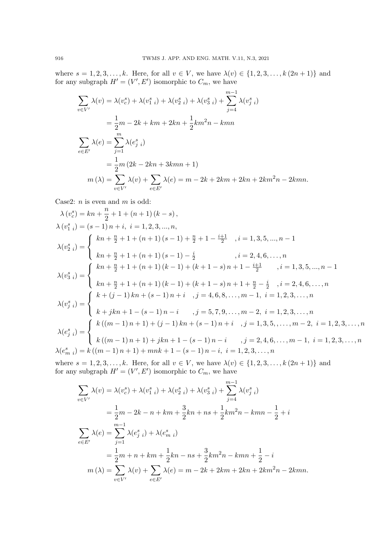where  $s = 1, 2, 3, ..., k$ . Here, for all  $v \in V$ , we have  $\lambda(v) \in \{1, 2, 3, ..., k (2n + 1)\}\$  and for any subgraph  $H' = (V', E')$  isomorphic to  $C_m$ , we have

$$
\sum_{v \in V'} \lambda(v) = \lambda(v_c^s) + \lambda(v_{1 i}^s) + \lambda(v_{2 i}^s) + \lambda(v_{3 i}^s) + \sum_{j=4}^{m-1} \lambda(v_{j i}^s)
$$
  
=  $\frac{1}{2}m - 2k + km + 2kn + \frac{1}{2}km^2n - kmn$   

$$
\sum_{e \in E'} \lambda(e) = \sum_{j=1}^{m} \lambda(e_{j i}^s)
$$
  
=  $\frac{1}{2}m (2k - 2kn + 3kmn + 1)$   

$$
m(\lambda) = \sum_{v \in V'} \lambda(v) + \sum_{e \in E'} \lambda(e) = m - 2k + 2km + 2kn + 2km^2n - 2kmn.
$$

Case2:  $n$  is even and  $m$  is odd:

$$
\lambda (v_c^s) = kn + \frac{n}{2} + 1 + (n+1)(k-s),
$$
\n
$$
\lambda (v_{1 i}^s) = (s-1) n + i, \ i = 1, 2, 3, ..., n,
$$
\n
$$
\lambda (v_{2 i}^s) = \begin{cases}\nkn + \frac{n}{2} + 1 + (n+1)(s-1) + \frac{n}{2} + 1 - \frac{i+1}{2} & , i = 1, 3, 5, ..., n-1 \\
kn + \frac{n}{2} + 1 + (n+1)(s-1) - \frac{i}{2} & , i = 2, 4, 6, ..., n \\
kn + \frac{n}{2} + 1 + (n+1)(k-1) + (k+1-s) n + 1 - \frac{i+1}{2} & , i = 1, 3, 5, ..., n-1 \\
kn + \frac{n}{2} + 1 + (n+1)(k-1) + (k+1-s) n + 1 + \frac{n}{2} - \frac{i}{2} & , i = 2, 4, 6, ..., n \\
kn + \frac{n}{2} + 1 + (n+1)(k-1) + (k+1-s) n + 1 + \frac{n}{2} - \frac{i}{2} & , i = 2, 4, 6, ..., n \\
k + \frac{i}{2} + 1 + (n+1)(k-1) n + i & , j = 4, 6, 8, ..., m-1, i = 1, 2, 3, ..., n \\
k + jkn + 1 - (s-1)n - i & , j = 5, 7, 9, ..., m-2, i = 1, 2, 3, ..., n \\
\lambda (e_j^s) = \begin{cases}\nk((m-1)n + 1) + (j-1)kn + (s-1)n + i & , j = 1, 3, 5, ..., m-2, i = 1, 2, 3, ..., n \\
k((m-1)n + 1) + jkn + 1 - (s-1)n - i & , j = 2, 4, 6, ..., m-1, i = 1, 2, 3, ..., n \\
k + jk + 1 - (s-1)n - i & , j = 2, 4, 6, ..., m-1, i = 1, 2, 3, ..., n\n\end{cases}
$$

where  $s = 1, 2, 3, ..., k$ . Here, for all  $v \in V$ , we have  $\lambda(v) \in \{1, 2, 3, ..., k (2n + 1)\}\)$  and for any subgraph  $H' = (V', E')$  isomorphic to  $C_m$ , we have

$$
\sum_{v \in V'} \lambda(v) = \lambda(v_0^s) + \lambda(v_{1,i}^s) + \lambda(v_{2,i}^s) + \lambda(v_{3,i}^s) + \sum_{j=4}^{m-1} \lambda(v_{j,i}^s)
$$
  
=  $\frac{1}{2}m - 2k - n + km + \frac{3}{2}kn + ns + \frac{1}{2}km^2n - kmn - \frac{1}{2} + i$   

$$
\sum_{e \in E'} \lambda(e) = \sum_{j=1}^{m-1} \lambda(e_{j,i}^s) + \lambda(e_{m,i}^s)
$$
  
=  $\frac{1}{2}m + n + km + \frac{1}{2}kn - ns + \frac{3}{2}km^2n - kmn + \frac{1}{2} - i$   

$$
m(\lambda) = \sum_{v \in V'} \lambda(v) + \sum_{e \in E'} \lambda(e) = m - 2k + 2km + 2kn + 2km^2n - 2kmn.
$$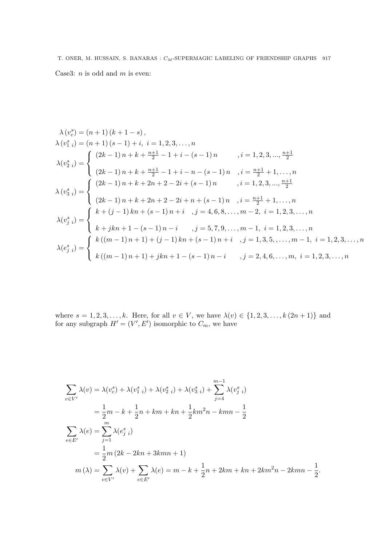T. ONER, M. HUSSAIN, S. BANARAS :  $C_M\text{-}\ensuremath{\mathrm{SUPERMAGIC}}$  LABELING OF FRIENDSHIP GRAPHS  $\,$  917 Case3:  $n$  is odd and  $m$  is even:

$$
\lambda (v_1^s) = (n+1)(k+1-s),
$$
  
\n
$$
\lambda (v_1^s i) = (n+1)(s-1) + i, \ i = 1, 2, 3, ..., n
$$
  
\n
$$
\lambda (v_2^s i) = \begin{cases}\n(2k-1)n + k + \frac{n+1}{2} - 1 + i - (s-1)n & , i = 1, 2, 3, ..., \frac{n+1}{2} \\
(2k-1)n + k + \frac{n+1}{2} - 1 + i - n - (s-1)n & , i = \frac{n+1}{2} + 1, ..., n\n\end{cases}
$$
  
\n
$$
\lambda (v_3^s i) = \begin{cases}\n(2k-1)n + k + 2n + 2 - 2i + (s-1)n & , i = 1, 2, 3, ..., \frac{n+1}{2} \\
(2k-1)n + k + 2n + 2 - 2i + n + (s-1)n & , i = \frac{n+1}{2} + 1, ..., n\n\end{cases}
$$
  
\n
$$
\lambda (v_3^s i) = \begin{cases}\nk + (j-1)kn + (s-1)n + i & , j = 4, 6, 8, ..., m-2, i = 1, 2, 3, ..., n \\
k + jkn + 1 - (s-1)n - i & , j = 5, 7, 9, ..., m-1, i = 1, 2, 3, ..., n \\
k(2s) = \begin{cases}\nk((m-1)n + 1) + (j-1)kn + (s-1)n + i & , j = 1, 3, 5, ..., m-1, i = 1, 2, 3, ..., n \\
k((m-1)n + 1) + jkn + 1 - (s-1)n - i & , j = 2, 4, 6, ..., m, i = 1, 2, 3, ..., n\n\end{cases}
$$

where  $s = 1, 2, 3, ..., k$ . Here, for all  $v \in V$ , we have  $\lambda(v) \in \{1, 2, 3, ..., k (2n + 1)\}\$  and for any subgraph  $H' = (V', E')$  isomorphic to  $C_m$ , we have

$$
\sum_{v \in V'} \lambda(v) = \lambda(v_c^s) + \lambda(v_{1-i}^s) + \lambda(v_{2-i}^s) + \lambda(v_{3-i}^s) + \sum_{j=4}^{m-1} \lambda(v_{j-i}^s)
$$
  
=  $\frac{1}{2}m - k + \frac{1}{2}n + km + kn + \frac{1}{2}km^2n - km - \frac{1}{2}$   

$$
\sum_{e \in E'} \lambda(e) = \sum_{j=1}^m \lambda(e_{j-i}^s)
$$
  
=  $\frac{1}{2}m(2k - 2kn + 3kmn + 1)$   

$$
m(\lambda) = \sum_{v \in V'} \lambda(v) + \sum_{e \in E'} \lambda(e) = m - k + \frac{1}{2}n + 2km + kn + 2km^2n - 2kmn - \frac{1}{2}.
$$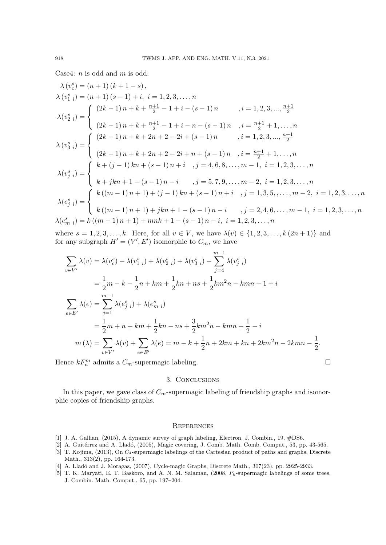Case4:  $n$  is odd and  $m$  is odd:

$$
\lambda (v_c^s) = (n+1)(k+1-s),
$$
\n
$$
\lambda (v_1^s) = (n+1)(s-1) + i, \ i = 1, 2, 3, ..., n
$$
\n
$$
\lambda (v_2^s) = \begin{cases}\n(2k-1)n + k + \frac{n+1}{2} - 1 + i - (s-1)n & , i = 1, 2, 3, ..., \frac{n+1}{2} \\
(2k-1)n + k + \frac{n+1}{2} - 1 + i - n - (s-1)n & , i = \frac{n+1}{2} + 1, ..., n\n\end{cases}
$$
\n
$$
\lambda (v_3^s) = \begin{cases}\n(2k-1)n + k + 2n + 2 - 2i + (s-1)n & , i = 1, 2, 3, ..., \frac{n+1}{2} \\
(2k-1)n + k + 2n + 2 - 2i + n + (s-1)n & , i = \frac{n+1}{2} + 1, ..., n\n\end{cases}
$$
\n
$$
\lambda (v_j^s) = \begin{cases}\nk + (j-1)kn + (s-1)n + i, j = 4, 6, 8, ..., m-1, i = 1, 2, 3, ..., n \\
k + jkn + 1 - (s-1)n - i, j = 5, 7, 9, ..., m-2, i = 1, 2, 3, ..., n \\
k(e_j^s) = \begin{cases}\nk((m-1)n + 1) + (j-1)kn + (s-1)n + i, j = 1, 3, 5, ..., m-2, i = 1, 2, 3, ..., n \\
k(e_m^s) = k((m-1)n + 1) + jkn + 1 - (s-1)n - i, j = 2, 4, 6, ..., m-1, i = 1, 2, 3, ..., n\n\end{cases}
$$

where  $s = 1, 2, 3, ..., k$ . Here, for all  $v \in V$ , we have  $\lambda(v) \in \{1, 2, 3, ..., k (2n + 1)\}\$  and for any subgraph  $H' = (V', E')$  isomorphic to  $C_m$ , we have

$$
\sum_{v \in V'} \lambda(v) = \lambda(v_c^s) + \lambda(v_{1 i}^s) + \lambda(v_{2 i}^s) + \lambda(v_{3 i}^s) + \sum_{j=4}^{m-1} \lambda(v_{j i}^s)
$$
  
\n
$$
= \frac{1}{2}m - k - \frac{1}{2}n + km + \frac{1}{2}kn + ns + \frac{1}{2}km^2n - kmn - 1 + i
$$
  
\n
$$
\sum_{e \in E'} \lambda(e) = \sum_{j=1}^{m-1} \lambda(e_{j i}^s) + \lambda(e_{m i}^s)
$$
  
\n
$$
= \frac{1}{2}m + n + km + \frac{1}{2}kn - ns + \frac{3}{2}km^2n - kmn + \frac{1}{2} - i
$$
  
\n
$$
m(\lambda) = \sum_{v \in V'} \lambda(v) + \sum_{e \in E'} \lambda(e) = m - k + \frac{1}{2}n + 2km + kn + 2km^2n - 2kmn - \frac{1}{2}.
$$

Hence  $kF_n^m$  admits a  $C_m$ -supermagic labeling.

### 3. Conclusions

In this paper, we gave class of  $C_m$ -supermagic labeling of friendship graphs and isomorphic copies of friendship graphs.

#### **REFERENCES**

- [1] J. A. Gallian, (2015), A dynamic survey of graph labeling, Electron. J. Combin., 19, #DS6.
- [2] A. Guitérrez and A. Lladó, (2005), Magic covering, J. Comb. Math. Comb. Comput., 53, pp. 43-565.
- [3] T. Kojima, (2013), On C4-supermagic labelings of the Cartesian product of paths and graphs, Discrete Math., 313(2), pp. 164-173.
- [4] A. Lladó and J. Moragas, (2007), Cycle-magic Graphs, Discrete Math., 307(23), pp. 2925-2933.
- [5] T. K. Maryati, E. T. Baskoro, and A. N. M. Salaman, (2008,  $P_h$ -supermagic labelings of some trees, J. Combin. Math. Comput., 65, pp. 197–204.